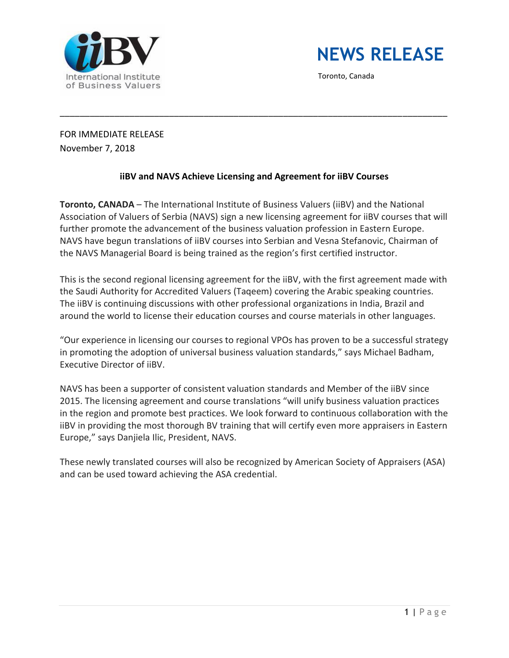



Toronto, Canada

FOR IMMEDIATE RELEASE November 7, 2018

## **iiBV and NAVS Achieve Licensing and Agreement for iiBV Courses**

\_\_\_\_\_\_\_\_\_\_\_\_\_\_\_\_\_\_\_\_\_\_\_\_\_\_\_\_\_\_\_\_\_\_\_\_\_\_\_\_\_\_\_\_\_\_\_\_\_\_\_\_\_\_\_\_\_\_\_\_\_\_\_\_\_\_\_\_\_\_\_\_\_\_\_\_\_\_

**Toronto, CANADA** – The International Institute of Business Valuers (iiBV) and the National Association of Valuers of Serbia (NAVS) sign a new licensing agreement for iiBV courses that will further promote the advancement of the business valuation profession in Eastern Europe. NAVS have begun translations of iiBV courses into Serbian and Vesna Stefanovic, Chairman of the NAVS Managerial Board is being trained as the region's first certified instructor.

This is the second regional licensing agreement for the iiBV, with the first agreement made with the Saudi Authority for Accredited Valuers (Taqeem) covering the Arabic speaking countries. The iiBV is continuing discussions with other professional organizations in India, Brazil and around the world to license their education courses and course materials in other languages.

"Our experience in licensing our courses to regional VPOs has proven to be a successful strategy in promoting the adoption of universal business valuation standards," says Michael Badham, Executive Director of iiBV.

NAVS has been a supporter of consistent valuation standards and Member of the iiBV since 2015. The licensing agreement and course translations "will unify business valuation practices in the region and promote best practices. We look forward to continuous collaboration with the iiBV in providing the most thorough BV training that will certify even more appraisers in Eastern Europe," says Danjiela Ilic, President, NAVS.

These newly translated courses will also be recognized by American Society of Appraisers (ASA) and can be used toward achieving the ASA credential.